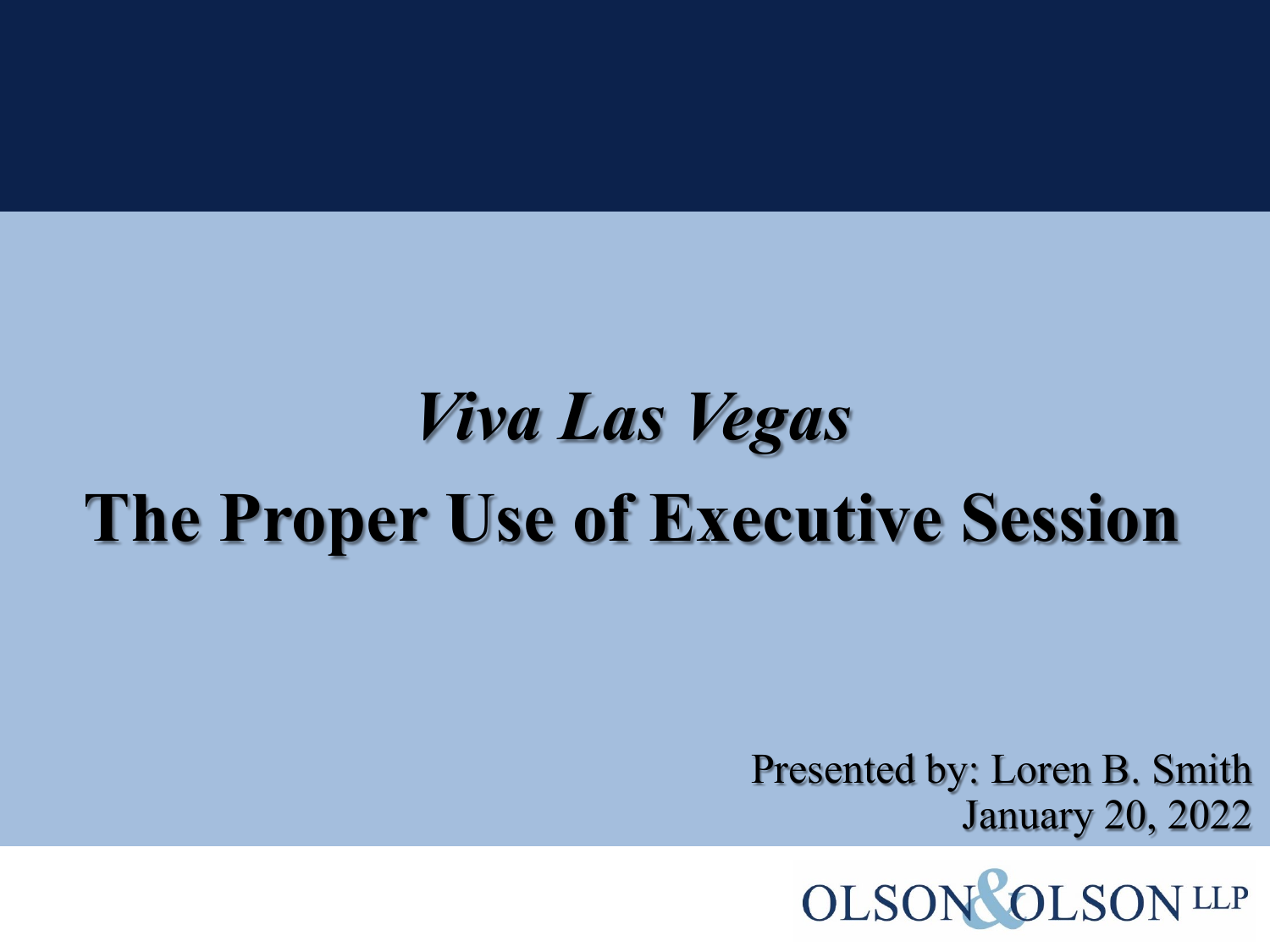# *Viva Las Vegas* **The Proper Use of Executive Session**

Presented by: Loren B. Smith January 20, 2022

OLSON OLSONLLP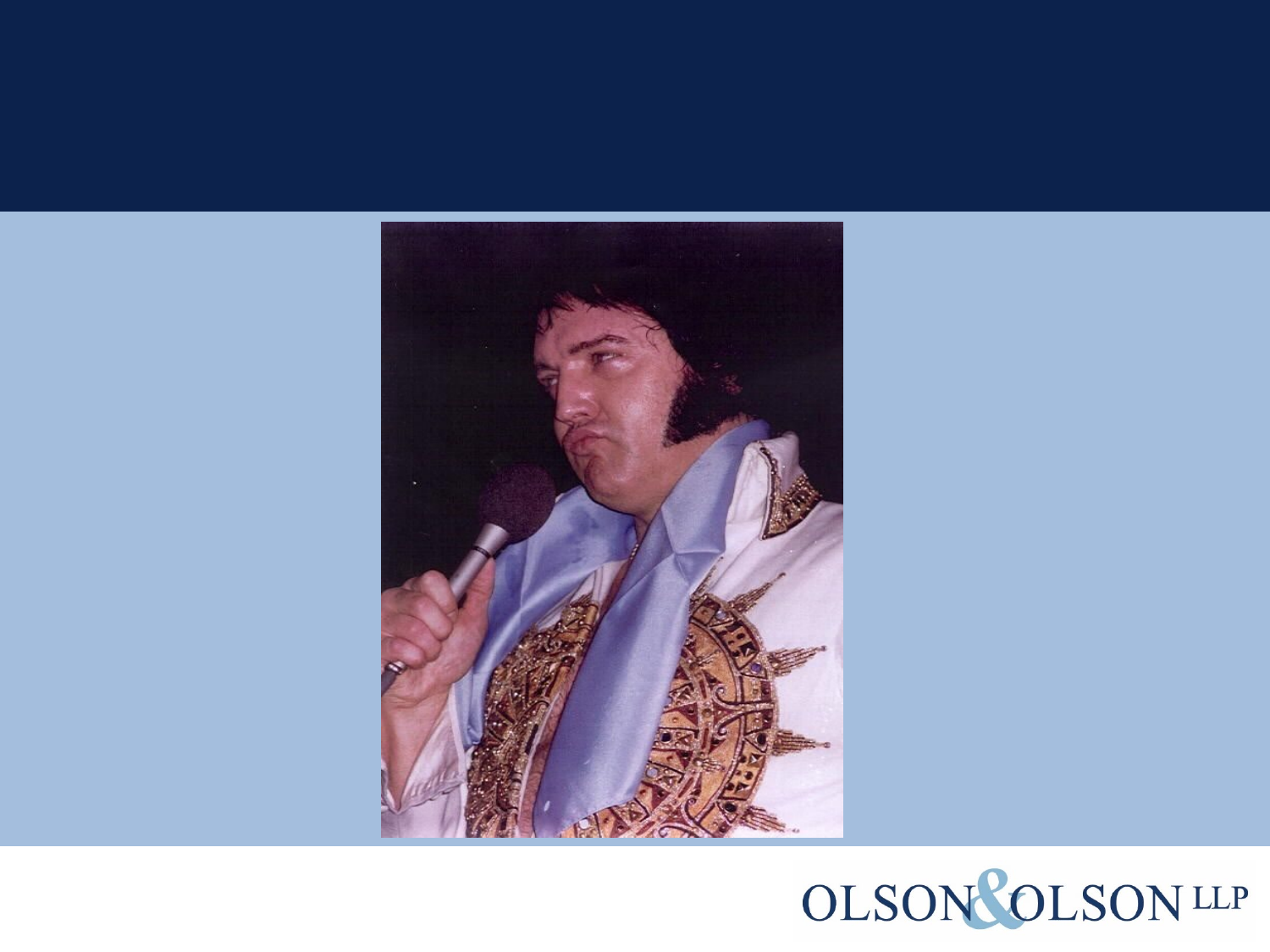

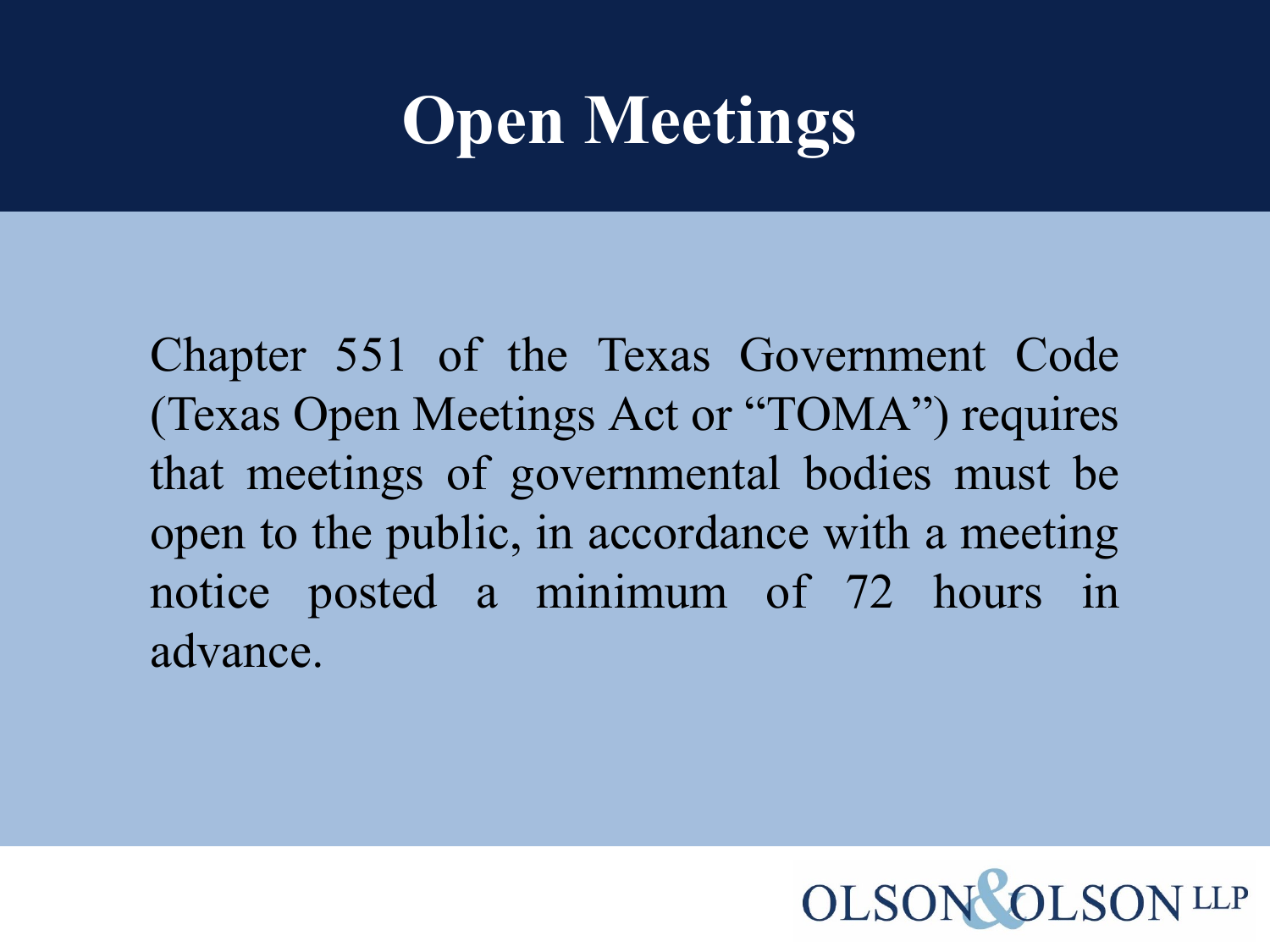# **Open Meetings**

Chapter 551 of the Texas Government Code (Texas Open Meetings Act or "TOMA") requires that meetings of governmental bodies must be open to the public, in accordance with a meeting notice posted a minimum of 72 hours in advance.

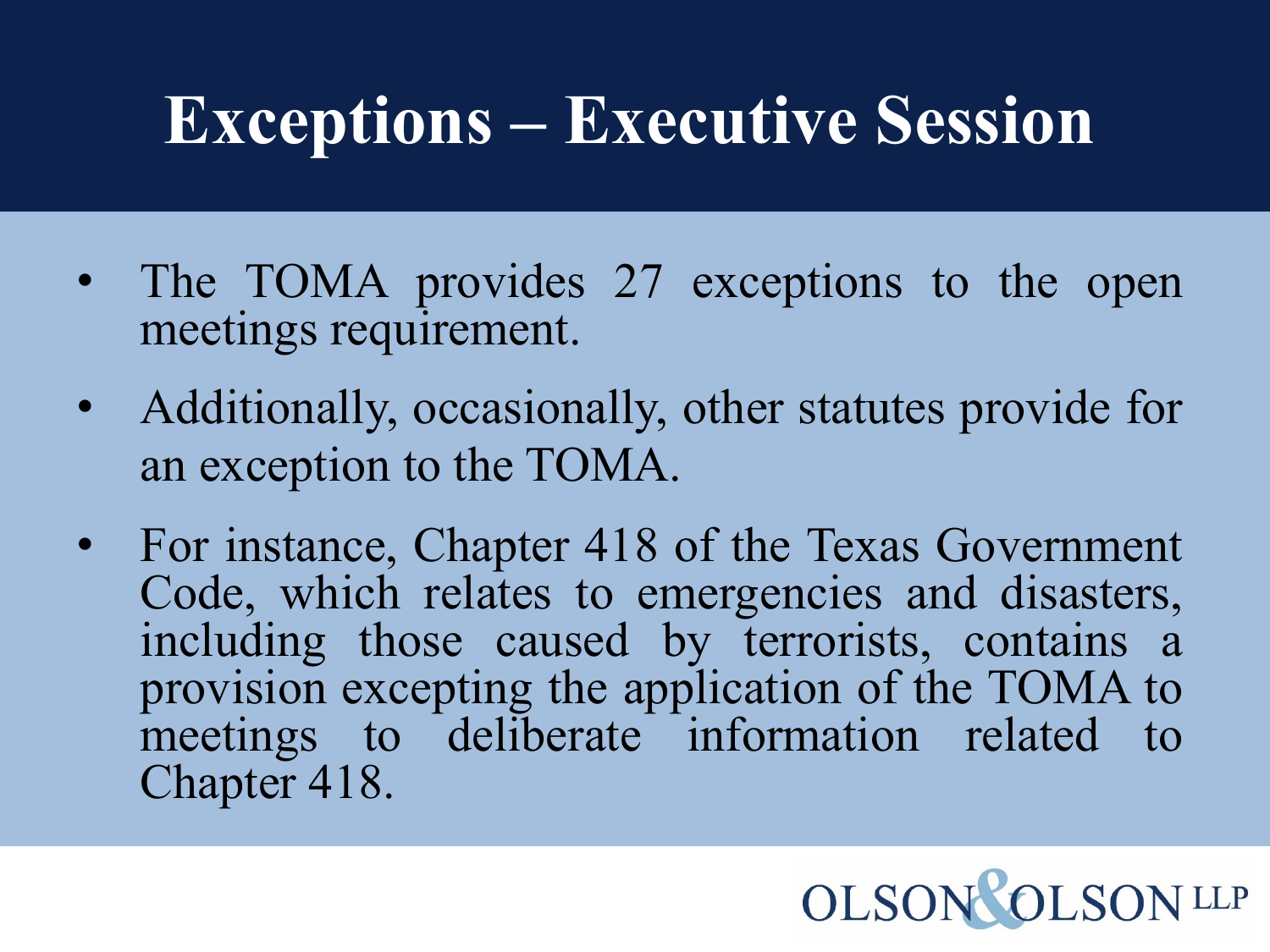### **Exceptions – Executive Session**

- The TOMA provides 27 exceptions to the open meetings requirement.
- Additionally, occasionally, other statutes provide for an exception to the TOMA.
- For instance, Chapter 418 of the Texas Government Code, which relates to emergencies and disasters, including those caused by terrorists, contains a provision excepting the application of the TOMA to meetings to deliberate information related to Chapter 418.

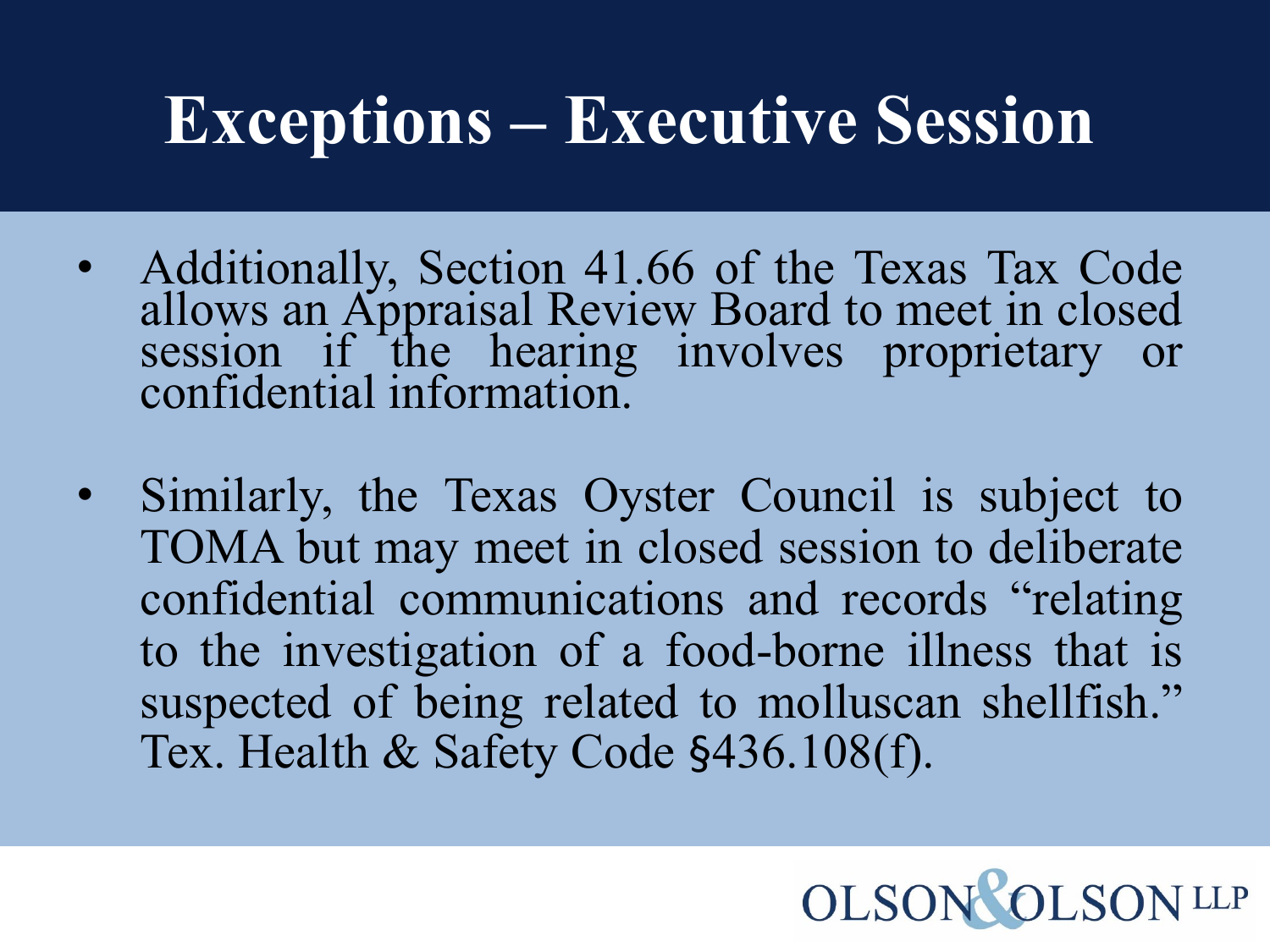### **Exceptions – Executive Session**

- Additionally, Section 41.66 of the Texas Tax Code allows an Appraisal Review Board to meet in closed session if the hearing involves proprietary or confidential information.
- Similarly, the Texas Oyster Council is subject to TOMA but may meet in closed session to deliberate confidential communications and records "relating to the investigation of a food-borne illness that is suspected of being related to molluscan shellfish." Tex. Health & Safety Code §436.108(f).

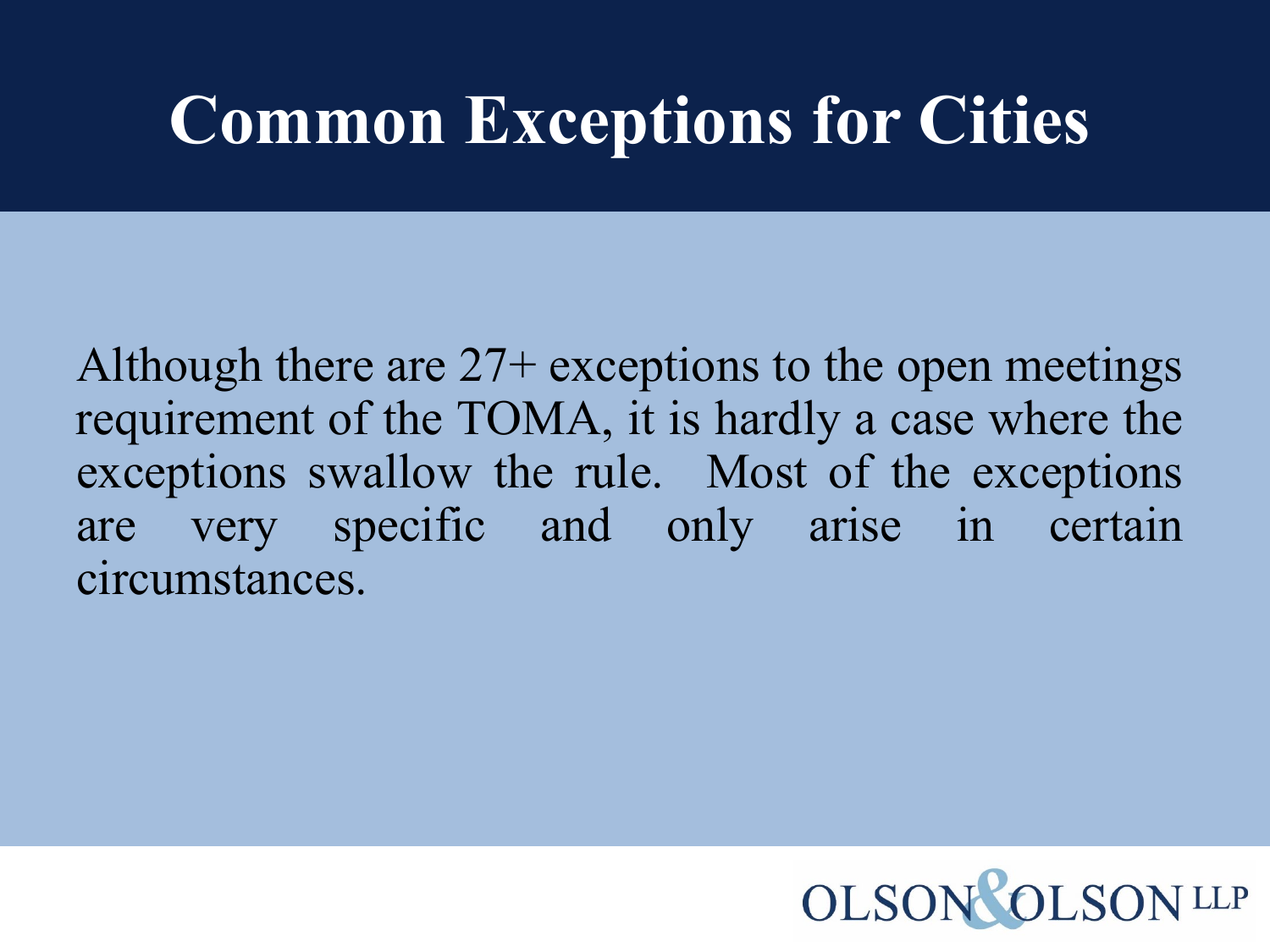Although there are  $27+$  exceptions to the open meetings requirement of the TOMA, it is hardly a case where the exceptions swallow the rule. Most of the exceptions are very specific and only arise in certain circumstances.

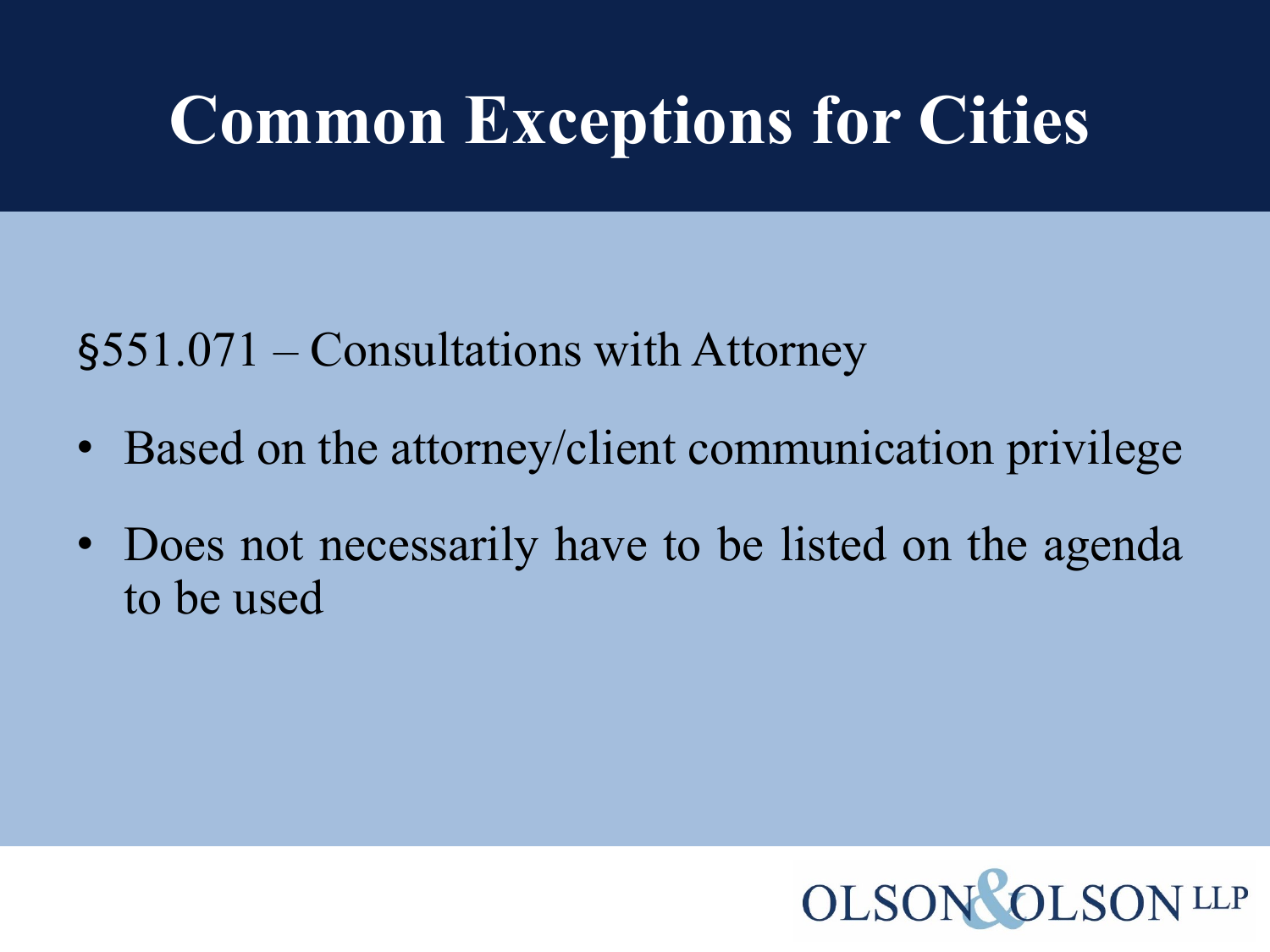§551.071 – Consultations with Attorney

- Based on the attorney/client communication privilege
- Does not necessarily have to be listed on the agenda to be used

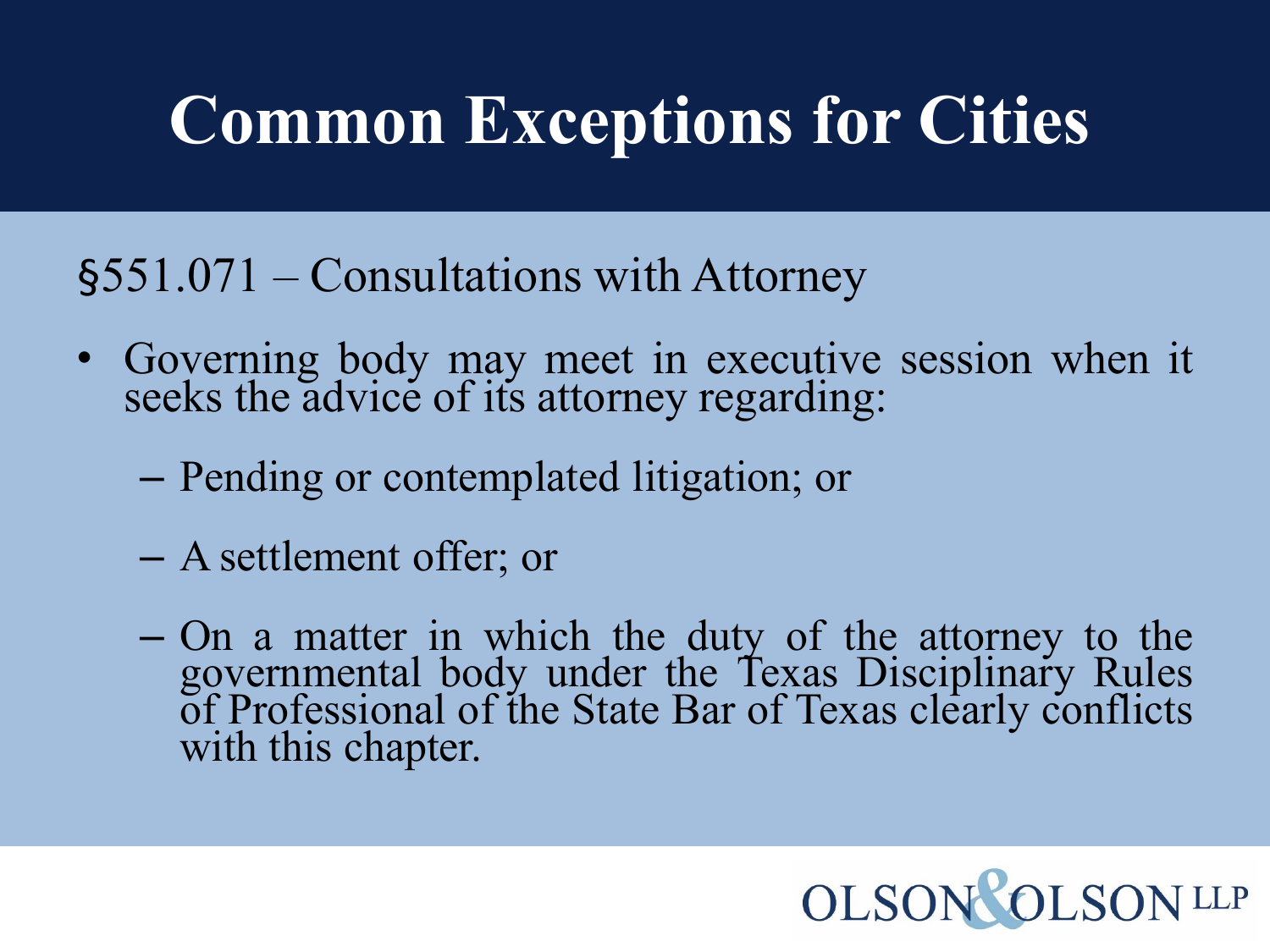§551.071 – Consultations with Attorney

- Governing body may meet in executive session when it seeks the advice of its attorney regarding:
	- Pending or contemplated litigation; or
	- A settlement offer; or
	- On a matter in which the duty of the attorney to the governmental body under the Texas Disciplinary Rules of Professional of the State Bar of Texas clearly conflicts with this chapter.

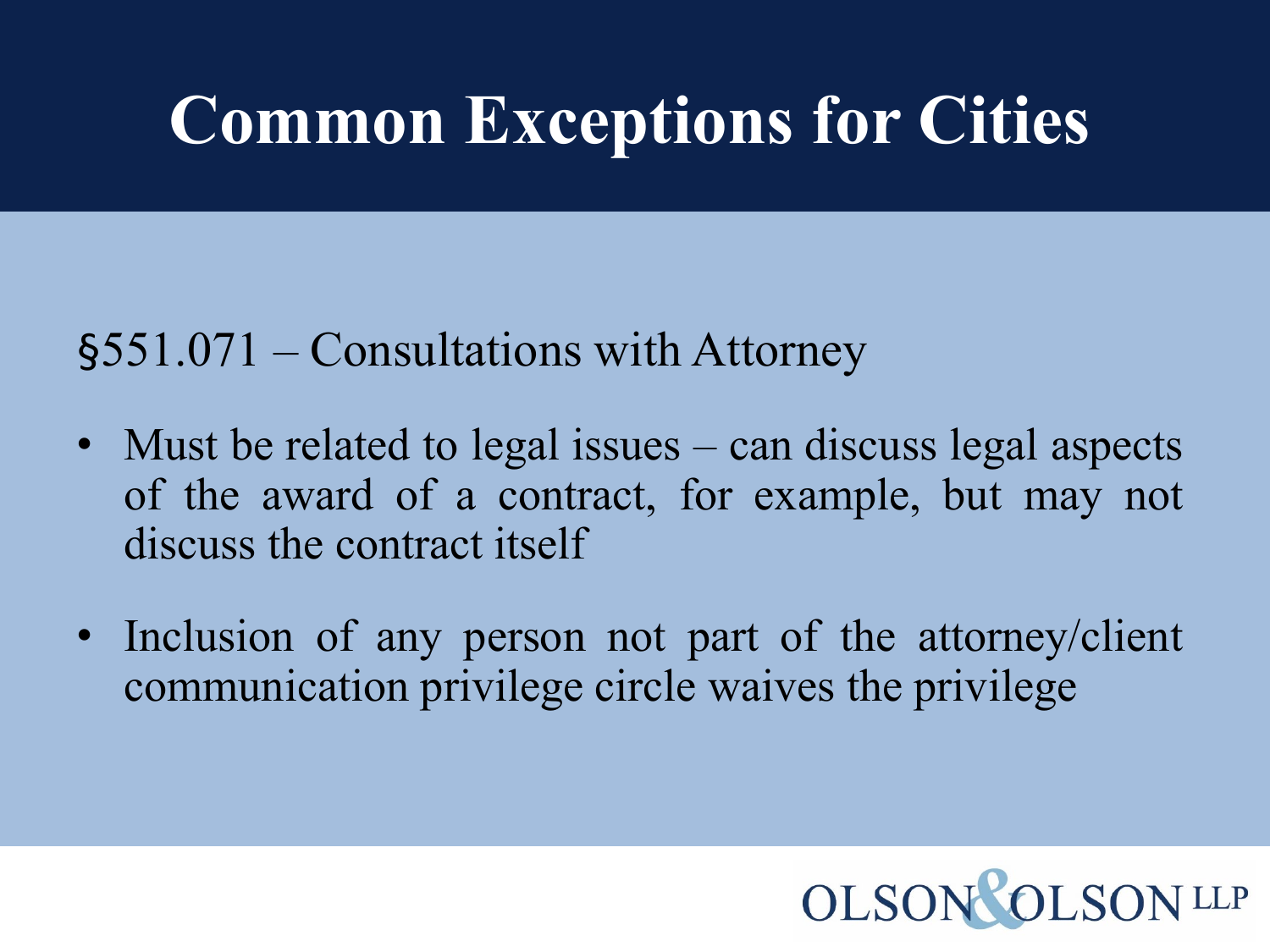#### §551.071 – Consultations with Attorney

- Must be related to legal issues can discuss legal aspects of the award of a contract, for example, but may not discuss the contract itself
- Inclusion of any person not part of the attorney/client communication privilege circle waives the privilege

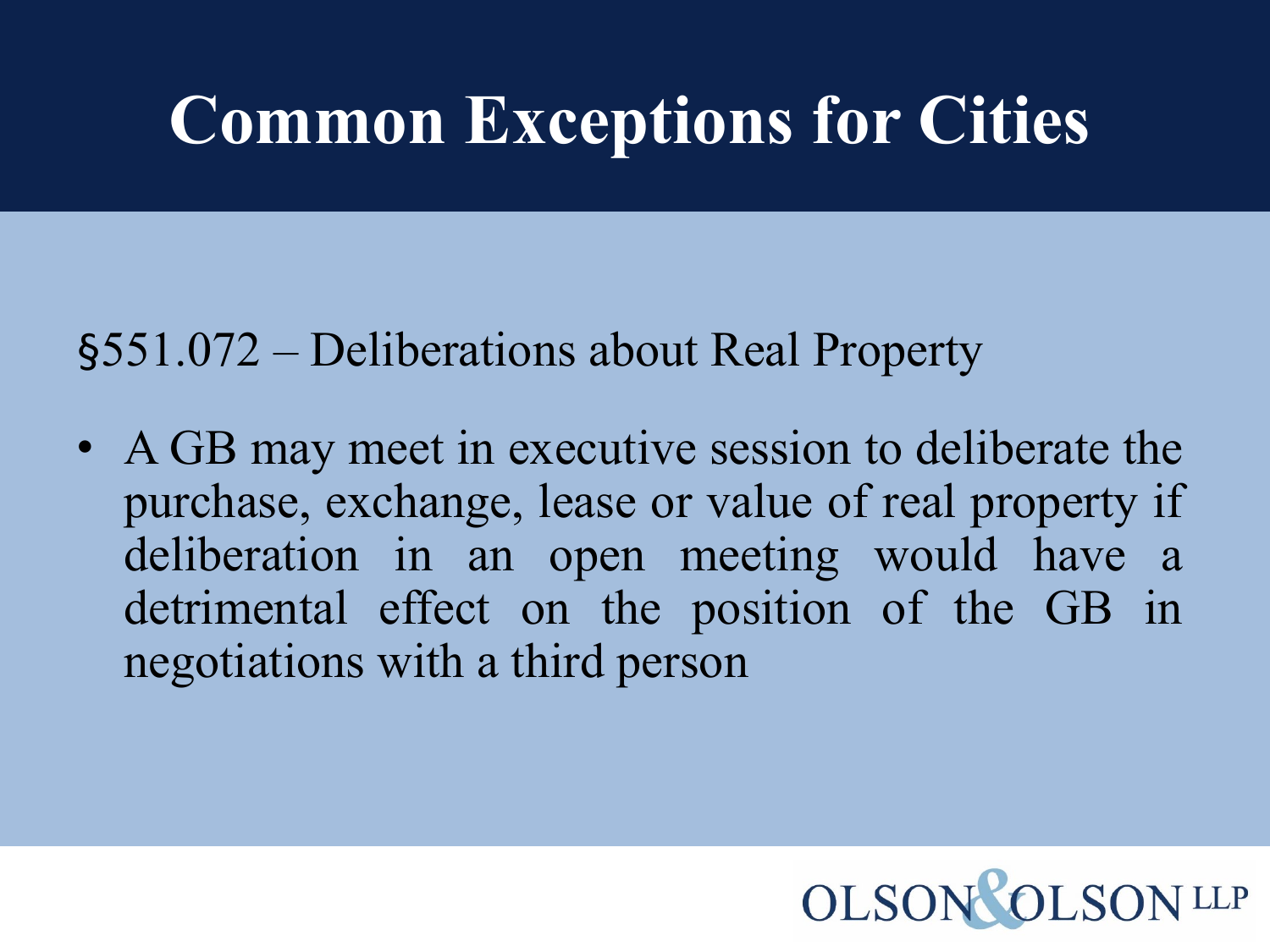§551.072 – Deliberations about Real Property

• A GB may meet in executive session to deliberate the purchase, exchange, lease or value of real property if deliberation in an open meeting would have a detrimental effect on the position of the GB in negotiations with a third person

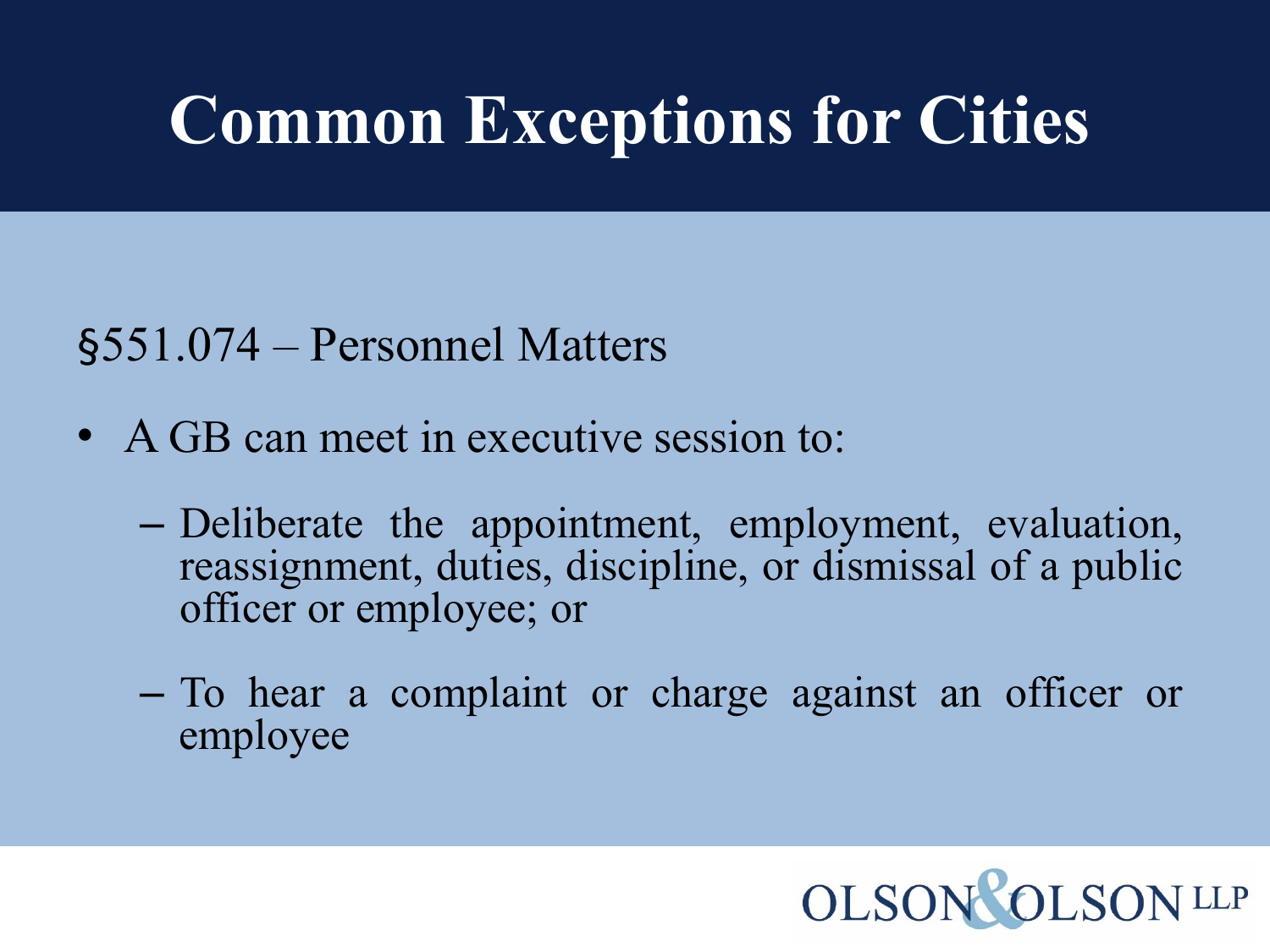#### §551.074 – Personnel Matters

- A GB can meet in executive session to:
	- Deliberate the appointment, employment, evaluation, reassignment, duties, discipline, or dismissal of a public officer or employee; or
	- To hear a complaint or charge against an officer or employee

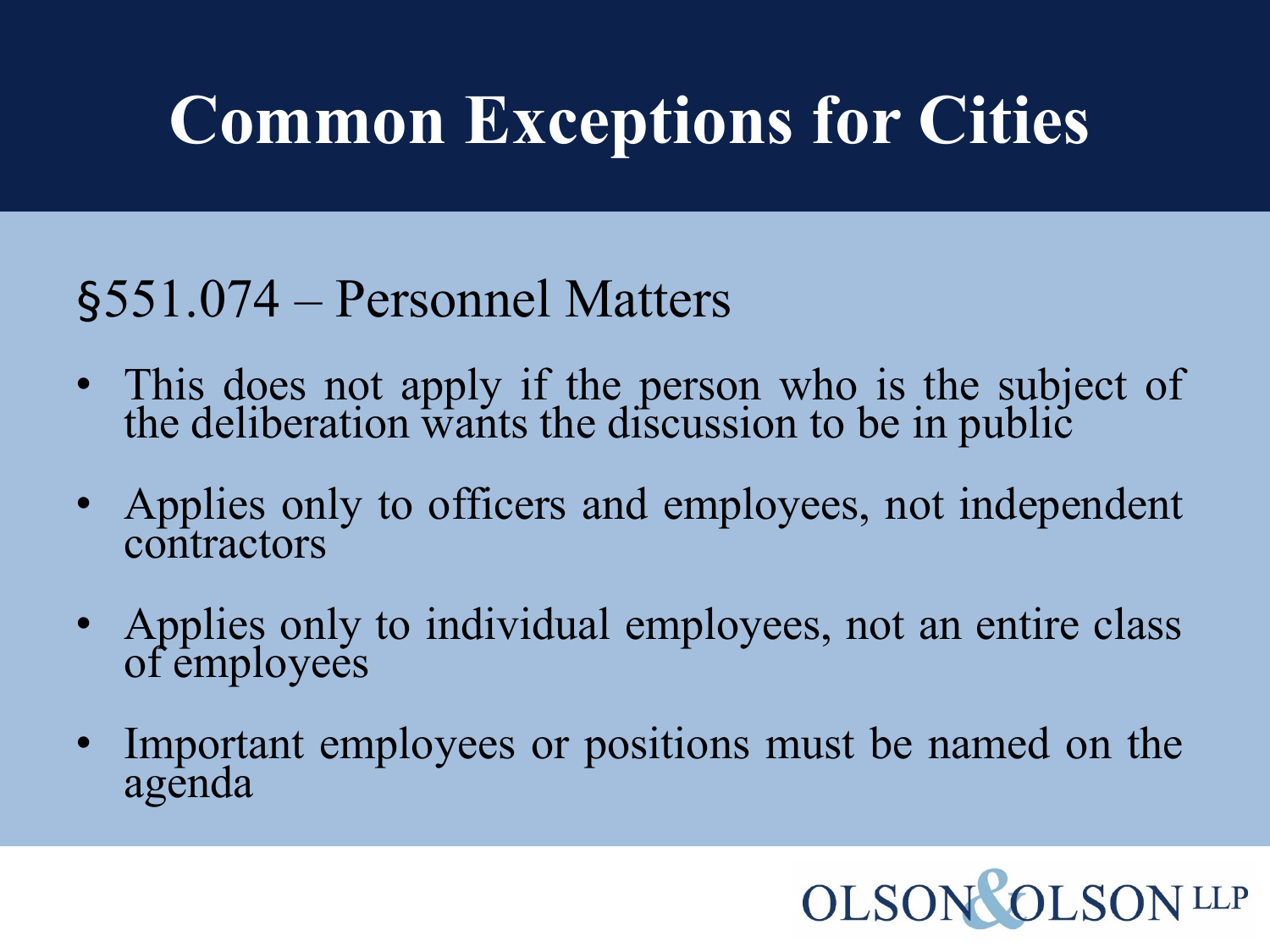#### §551.074 – Personnel Matters

- This does not apply if the person who is the subject of the deliberation wants the discussion to be in public
- Applies only to officers and employees, not independent contractors
- Applies only to individual employees, not an entire class of employees
- Important employees or positions must be named on the agenda

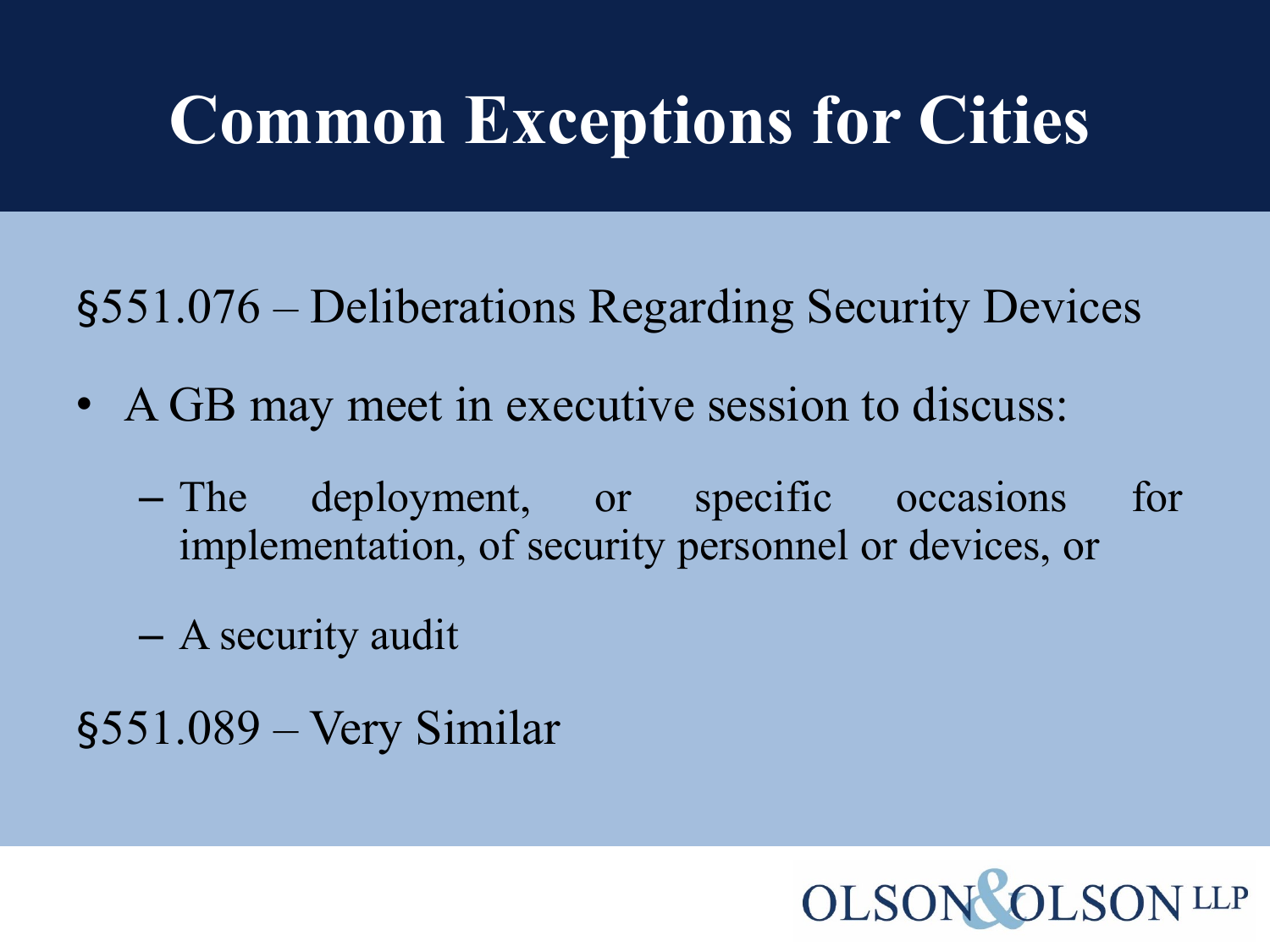§551.076 – Deliberations Regarding Security Devices

- A GB may meet in executive session to discuss:
	- The deployment, or specific occasions for implementation, of security personnel or devices, or
	- A security audit
- §551.089 Very Similar